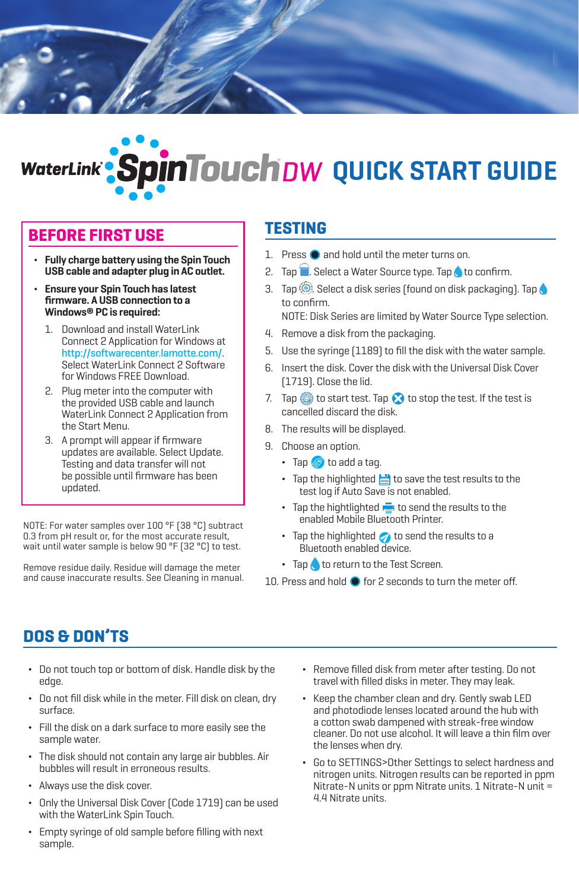

# **n Touch** DW QUICK START GUIDE

#### **BEFORE FIRST USE**

- **Fully charge battery using the Spin Touch USB cable and adapter plug in AC outlet.**
- ¬ **Ensure your Spin Touch has latest firmware. A USB connection to a Windows® PC is required:**
	- 1. Download and install WaterLink Connect 2 Application for Windows at http://softwarecenter.lamotte.com/. Select WaterLink Connect 2 Software for Windows FREE Download.
	- 2. Plug meter into the computer with the provided USB cable and launch WaterLink Connect 2 Application from the Start Menu.
	- 3. A prompt will appear if firmware updates are available. Select Update. Testing and data transfer will not be possible until firmware has been updated.

NOTE: For water samples over 100 °F (38 °C) subtract 0.3 from pH result or, for the most accurate result, wait until water sample is below 90 °F (32 °C) to test.

Remove residue daily. Residue will damage the meter and cause inaccurate results. See Cleaning in manual.

#### **TESTING**

- 1. Press  $\bullet$  and hold until the meter turns on.
- 2. Tap  $\blacksquare$ . Select a Water Source type. Tap  $\lozenge$  to confirm.
- 3. Tap  $\circled{)}$ . Select a disk series (found on disk packaging). Tap to confirm.

NOTE: Disk Series are limited by Water Source Type selection.

- 4. Remove a disk from the packaging.
- 5. Use the syringe (1189) to fill the disk with the water sample.
- 6. Insert the disk. Cover the disk with the Universal Disk Cover (1719). Close the lid.
- 7. Tap  $\odot$  to start test. Tap  $\odot$  to stop the test. If the test is cancelled discard the disk.
- 8. The results will be displayed.
- 9. Choose an option.
	- $\cdot$  Tap  $\circledast$  to add a tag.
	- $\cdot$  Tap the highlighted  $\equiv$  to save the test results to the test log if Auto Save is not enabled.
	- $\cdot$  Tap the hightlighted  $\frac{1}{\sqrt{2}}$  to send the results to the enabled Mobile Bluetooth Printer.
	- $\cdot$  Tap the highlighted  $\bullet$  to send the results to a Bluetooth enabled device.
	- Tap to return to the Test Screen.
- 10. Press and hold  $\bullet$  for 2 seconds to turn the meter off.

## **DOS & DON'TS**

- Do not touch top or bottom of disk. Handle disk by the edge.
- Do not fill disk while in the meter. Fill disk on clean, dry surface.
- Fill the disk on a dark surface to more easily see the sample water.
- The disk should not contain any large air bubbles. Air bubbles will result in erroneous results.
- ¬ Always use the disk cover.
- ¬ Only the Universal Disk Cover (Code 1719) can be used with the WaterLink Spin Touch.
- Empty syringe of old sample before filling with next sample.
- ¬ Remove filled disk from meter after testing. Do not travel with filled disks in meter. They may leak.
- Keep the chamber clean and dry. Gently swab LED and photodiode lenses located around the hub with a cotton swab dampened with streak-free window cleaner. Do not use alcohol. It will leave a thin film over the lenses when dry.
- Go to SETTINGS>Other Settings to select hardness and nitrogen units. Nitrogen results can be reported in ppm Nitrate-N units or ppm Nitrate units. 1 Nitrate-N unit = 4.4 Nitrate units.